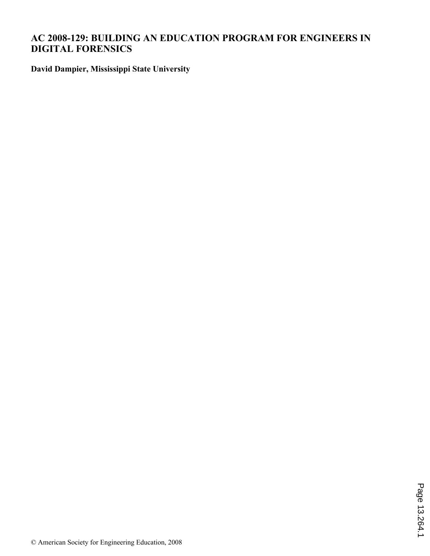# **AC 2008-129: BUILDING AN EDUCATION PROGRAM FOR ENGINEERS IN DIGITAL FORENSICS**

**David Dampier, Mississippi State University**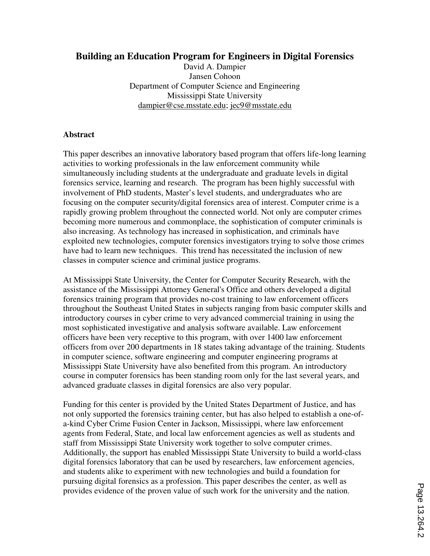# **Building an Education Program for Engineers in Digital Forensics**

David A. Dampier Jansen Cohoon Department of Computer Science and Engineering Mississippi State University dampier@cse.msstate.edu; jec9@msstate.edu

### **Abstract**

This paper describes an innovative laboratory based program that offers life-long learning activities to working professionals in the law enforcement community while simultaneously including students at the undergraduate and graduate levels in digital forensics service, learning and research. The program has been highly successful with involvement of PhD students, Master's level students, and undergraduates who are focusing on the computer security/digital forensics area of interest. Computer crime is a rapidly growing problem throughout the connected world. Not only are computer crimes becoming more numerous and commonplace, the sophistication of computer criminals is also increasing. As technology has increased in sophistication, and criminals have exploited new technologies, computer forensics investigators trying to solve those crimes have had to learn new techniques. This trend has necessitated the inclusion of new classes in computer science and criminal justice programs.

At Mississippi State University, the Center for Computer Security Research, with the assistance of the Mississippi Attorney General's Office and others developed a digital forensics training program that provides no-cost training to law enforcement officers throughout the Southeast United States in subjects ranging from basic computer skills and introductory courses in cyber crime to very advanced commercial training in using the most sophisticated investigative and analysis software available. Law enforcement officers have been very receptive to this program, with over 1400 law enforcement officers from over 200 departments in 18 states taking advantage of the training. Students in computer science, software engineering and computer engineering programs at Mississippi State University have also benefited from this program. An introductory course in computer forensics has been standing room only for the last several years, and advanced graduate classes in digital forensics are also very popular.

Funding for this center is provided by the United States Department of Justice, and has not only supported the forensics training center, but has also helped to establish a one-ofa-kind Cyber Crime Fusion Center in Jackson, Mississippi, where law enforcement agents from Federal, State, and local law enforcement agencies as well as students and staff from Mississippi State University work together to solve computer crimes. Additionally, the support has enabled Mississippi State University to build a world-class digital forensics laboratory that can be used by researchers, law enforcement agencies, and students alike to experiment with new technologies and build a foundation for pursuing digital forensics as a profession. This paper describes the center, as well as provides evidence of the proven value of such work for the university and the nation.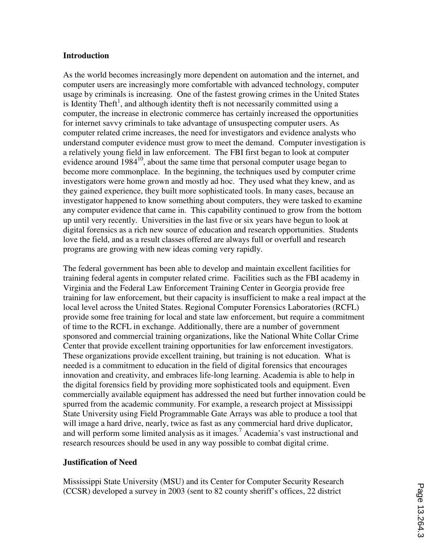#### **Introduction**

As the world becomes increasingly more dependent on automation and the internet, and computer users are increasingly more comfortable with advanced technology, computer usage by criminals is increasing. One of the fastest growing crimes in the United States is Identity Theft<sup>1</sup>, and although identity theft is not necessarily committed using a computer, the increase in electronic commerce has certainly increased the opportunities for internet savvy criminals to take advantage of unsuspecting computer users. As computer related crime increases, the need for investigators and evidence analysts who understand computer evidence must grow to meet the demand. Computer investigation is a relatively young field in law enforcement. The FBI first began to look at computer evidence around  $1984^{10}$ , about the same time that personal computer usage began to become more commonplace. In the beginning, the techniques used by computer crime investigators were home grown and mostly ad hoc. They used what they knew, and as they gained experience, they built more sophisticated tools. In many cases, because an investigator happened to know something about computers, they were tasked to examine any computer evidence that came in. This capability continued to grow from the bottom up until very recently. Universities in the last five or six years have begun to look at digital forensics as a rich new source of education and research opportunities. Students love the field, and as a result classes offered are always full or overfull and research programs are growing with new ideas coming very rapidly.

The federal government has been able to develop and maintain excellent facilities for training federal agents in computer related crime. Facilities such as the FBI academy in Virginia and the Federal Law Enforcement Training Center in Georgia provide free training for law enforcement, but their capacity is insufficient to make a real impact at the local level across the United States. Regional Computer Forensics Laboratories (RCFL) provide some free training for local and state law enforcement, but require a commitment of time to the RCFL in exchange. Additionally, there are a number of government sponsored and commercial training organizations, like the National White Collar Crime Center that provide excellent training opportunities for law enforcement investigators. These organizations provide excellent training, but training is not education. What is needed is a commitment to education in the field of digital forensics that encourages innovation and creativity, and embraces life-long learning. Academia is able to help in the digital forensics field by providing more sophisticated tools and equipment. Even commercially available equipment has addressed the need but further innovation could be spurred from the academic community. For example, a research project at Mississippi State University using Field Programmable Gate Arrays was able to produce a tool that will image a hard drive, nearly, twice as fast as any commercial hard drive duplicator, and will perform some limited analysis as it images.<sup>7</sup> Academia's vast instructional and research resources should be used in any way possible to combat digital crime.

#### **Justification of Need**

Mississippi State University (MSU) and its Center for Computer Security Research (CCSR) developed a survey in 2003 (sent to 82 county sheriff's offices, 22 district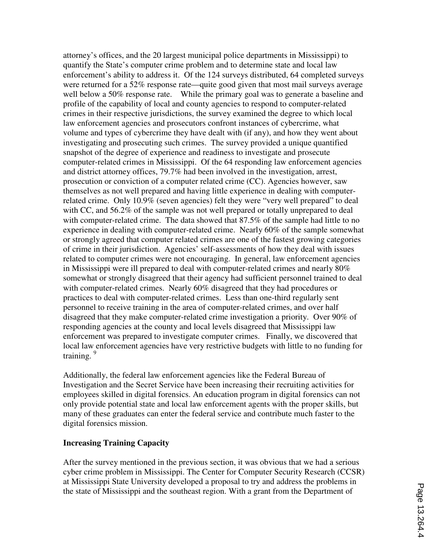attorney's offices, and the 20 largest municipal police departments in Mississippi) to quantify the State's computer crime problem and to determine state and local law enforcement's ability to address it. Of the 124 surveys distributed, 64 completed surveys were returned for a 52% response rate—quite good given that most mail surveys average well below a 50% response rate. While the primary goal was to generate a baseline and profile of the capability of local and county agencies to respond to computer-related crimes in their respective jurisdictions, the survey examined the degree to which local law enforcement agencies and prosecutors confront instances of cybercrime, what volume and types of cybercrime they have dealt with (if any), and how they went about investigating and prosecuting such crimes. The survey provided a unique quantified snapshot of the degree of experience and readiness to investigate and prosecute computer-related crimes in Mississippi. Of the 64 responding law enforcement agencies and district attorney offices, 79.7% had been involved in the investigation, arrest, prosecution or conviction of a computer related crime (CC). Agencies however, saw themselves as not well prepared and having little experience in dealing with computerrelated crime. Only 10.9% (seven agencies) felt they were "very well prepared" to deal with CC, and 56.2% of the sample was not well prepared or totally unprepared to deal with computer-related crime. The data showed that 87.5% of the sample had little to no experience in dealing with computer-related crime. Nearly 60% of the sample somewhat or strongly agreed that computer related crimes are one of the fastest growing categories of crime in their jurisdiction. Agencies' self-assessments of how they deal with issues related to computer crimes were not encouraging. In general, law enforcement agencies in Mississippi were ill prepared to deal with computer-related crimes and nearly 80% somewhat or strongly disagreed that their agency had sufficient personnel trained to deal with computer-related crimes. Nearly 60% disagreed that they had procedures or practices to deal with computer-related crimes. Less than one-third regularly sent personnel to receive training in the area of computer-related crimes, and over half disagreed that they make computer-related crime investigation a priority. Over 90% of responding agencies at the county and local levels disagreed that Mississippi law enforcement was prepared to investigate computer crimes. Finally, we discovered that local law enforcement agencies have very restrictive budgets with little to no funding for training.<sup>9</sup>

Additionally, the federal law enforcement agencies like the Federal Bureau of Investigation and the Secret Service have been increasing their recruiting activities for employees skilled in digital forensics. An education program in digital forensics can not only provide potential state and local law enforcement agents with the proper skills, but many of these graduates can enter the federal service and contribute much faster to the digital forensics mission.

#### **Increasing Training Capacity**

After the survey mentioned in the previous section, it was obvious that we had a serious cyber crime problem in Mississippi. The Center for Computer Security Research (CCSR) at Mississippi State University developed a proposal to try and address the problems in the state of Mississippi and the southeast region. With a grant from the Department of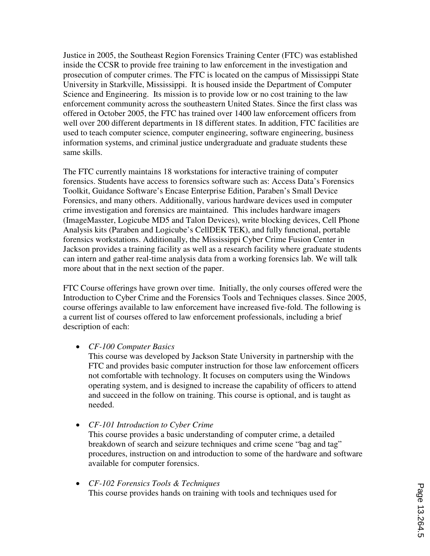Justice in 2005, the Southeast Region Forensics Training Center (FTC) was established inside the CCSR to provide free training to law enforcement in the investigation and prosecution of computer crimes. The FTC is located on the campus of Mississippi State University in Starkville, Mississippi. It is housed inside the Department of Computer Science and Engineering. Its mission is to provide low or no cost training to the law enforcement community across the southeastern United States. Since the first class was offered in October 2005, the FTC has trained over 1400 law enforcement officers from well over 200 different departments in 18 different states. In addition, FTC facilities are used to teach computer science, computer engineering, software engineering, business information systems, and criminal justice undergraduate and graduate students these same skills.

The FTC currently maintains 18 workstations for interactive training of computer forensics. Students have access to forensics software such as: Access Data's Forensics Toolkit, Guidance Software's Encase Enterprise Edition, Paraben's Small Device Forensics, and many others. Additionally, various hardware devices used in computer crime investigation and forensics are maintained. This includes hardware imagers (ImageMasster, Logicube MD5 and Talon Devices), write blocking devices, Cell Phone Analysis kits (Paraben and Logicube's CellDEK TEK), and fully functional, portable forensics workstations. Additionally, the Mississippi Cyber Crime Fusion Center in Jackson provides a training facility as well as a research facility where graduate students can intern and gather real-time analysis data from a working forensics lab. We will talk more about that in the next section of the paper.

FTC Course offerings have grown over time. Initially, the only courses offered were the Introduction to Cyber Crime and the Forensics Tools and Techniques classes. Since 2005, course offerings available to law enforcement have increased five-fold. The following is a current list of courses offered to law enforcement professionals, including a brief description of each:

• *CF-100 Computer Basics*

This course was developed by Jackson State University in partnership with the FTC and provides basic computer instruction for those law enforcement officers not comfortable with technology. It focuses on computers using the Windows operating system, and is designed to increase the capability of officers to attend and succeed in the follow on training. This course is optional, and is taught as needed.

• *CF-101 Introduction to Cyber Crime*

This course provides a basic understanding of computer crime, a detailed breakdown of search and seizure techniques and crime scene "bag and tag" procedures, instruction on and introduction to some of the hardware and software available for computer forensics.

• *CF-102 Forensics Tools & Techniques* This course provides hands on training with tools and techniques used for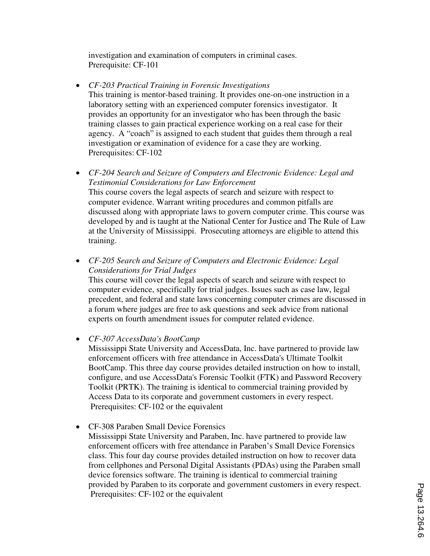investigation and examination of computers in criminal cases. Prerequisite: CF-101

- *CF-203 Practical Training in Forensic Investigations* This training is mentor-based training. It provides one-on-one instruction in a laboratory setting with an experienced computer forensics investigator. It provides an opportunity for an investigator who has been through the basic training classes to gain practical experience working on a real case for their agency. A "coach" is assigned to each student that guides them through a real investigation or examination of evidence for a case they are working. Prerequisites: CF-102
- *CF-204 Search and Seizure of Computers and Electronic Evidence: Legal and Testimonial Considerations for Law Enforcement* This course covers the legal aspects of search and seizure with respect to computer evidence. Warrant writing procedures and common pitfalls are discussed along with appropriate laws to govern computer crime. This course was developed by and is taught at the National Center for Justice and The Rule of Law at the University of Mississippi. Prosecuting attorneys are eligible to attend this training.
- *CF-205 Search and Seizure of Computers and Electronic Evidence: Legal Considerations for Trial Judges*

This course will cover the legal aspects of search and seizure with respect to computer evidence, specifically for trial judges. Issues such as case law, legal precedent, and federal and state laws concerning computer crimes are discussed in a forum where judges are free to ask questions and seek advice from national experts on fourth amendment issues for computer related evidence.

#### • *CF-307 AccessData's BootCamp*

Mississippi State University and AccessData, Inc. have partnered to provide law enforcement officers with free attendance in AccessData's Ultimate Toolkit BootCamp. This three day course provides detailed instruction on how to install, configure, and use AccessData's Forensic Toolkit (FTK) and Password Recovery Toolkit (PRTK). The training is identical to commercial training provided by Access Data to its corporate and government customers in every respect. Prerequisites: CF-102 or the equivalent

• CF-308 Paraben Small Device Forensics

Mississippi State University and Paraben, Inc. have partnered to provide law enforcement officers with free attendance in Paraben's Small Device Forensics class. This four day course provides detailed instruction on how to recover data from cellphones and Personal Digital Assistants (PDAs) using the Paraben small device forensics software. The training is identical to commercial training provided by Paraben to its corporate and government customers in every respect. Prerequisites: CF-102 or the equivalent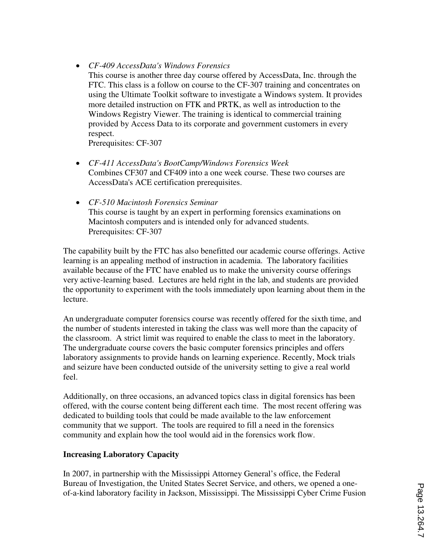## • *CF-409 AccessData's Windows Forensics*

This course is another three day course offered by AccessData, Inc. through the FTC. This class is a follow on course to the CF-307 training and concentrates on using the Ultimate Toolkit software to investigate a Windows system. It provides more detailed instruction on FTK and PRTK, as well as introduction to the Windows Registry Viewer. The training is identical to commercial training provided by Access Data to its corporate and government customers in every respect.

Prerequisites: CF-307

- *CF-411 AccessData's BootCamp/Windows Forensics Week*  Combines CF307 and CF409 into a one week course. These two courses are AccessData's ACE certification prerequisites.
- *CF-510 Macintosh Forensics Seminar* This course is taught by an expert in performing forensics examinations on Macintosh computers and is intended only for advanced students. Prerequisites: CF-307

The capability built by the FTC has also benefitted our academic course offerings. Active learning is an appealing method of instruction in academia. The laboratory facilities available because of the FTC have enabled us to make the university course offerings very active-learning based. Lectures are held right in the lab, and students are provided the opportunity to experiment with the tools immediately upon learning about them in the lecture.

An undergraduate computer forensics course was recently offered for the sixth time, and the number of students interested in taking the class was well more than the capacity of the classroom. A strict limit was required to enable the class to meet in the laboratory. The undergraduate course covers the basic computer forensics principles and offers laboratory assignments to provide hands on learning experience. Recently, Mock trials and seizure have been conducted outside of the university setting to give a real world feel.

Additionally, on three occasions, an advanced topics class in digital forensics has been offered, with the course content being different each time. The most recent offering was dedicated to building tools that could be made available to the law enforcement community that we support. The tools are required to fill a need in the forensics community and explain how the tool would aid in the forensics work flow.

# **Increasing Laboratory Capacity**

In 2007, in partnership with the Mississippi Attorney General's office, the Federal Bureau of Investigation, the United States Secret Service, and others, we opened a oneof-a-kind laboratory facility in Jackson, Mississippi. The Mississippi Cyber Crime Fusion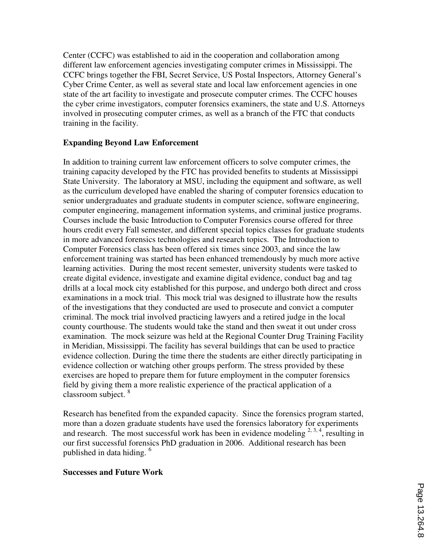Center (CCFC) was established to aid in the cooperation and collaboration among different law enforcement agencies investigating computer crimes in Mississippi. The CCFC brings together the FBI, Secret Service, US Postal Inspectors, Attorney General's Cyber Crime Center, as well as several state and local law enforcement agencies in one state of the art facility to investigate and prosecute computer crimes. The CCFC houses the cyber crime investigators, computer forensics examiners, the state and U.S. Attorneys involved in prosecuting computer crimes, as well as a branch of the FTC that conducts training in the facility.

### **Expanding Beyond Law Enforcement**

In addition to training current law enforcement officers to solve computer crimes, the training capacity developed by the FTC has provided benefits to students at Mississippi State University. The laboratory at MSU, including the equipment and software, as well as the curriculum developed have enabled the sharing of computer forensics education to senior undergraduates and graduate students in computer science, software engineering, computer engineering, management information systems, and criminal justice programs. Courses include the basic Introduction to Computer Forensics course offered for three hours credit every Fall semester, and different special topics classes for graduate students in more advanced forensics technologies and research topics. The Introduction to Computer Forensics class has been offered six times since 2003, and since the law enforcement training was started has been enhanced tremendously by much more active learning activities. During the most recent semester, university students were tasked to create digital evidence, investigate and examine digital evidence, conduct bag and tag drills at a local mock city established for this purpose, and undergo both direct and cross examinations in a mock trial. This mock trial was designed to illustrate how the results of the investigations that they conducted are used to prosecute and convict a computer criminal. The mock trial involved practicing lawyers and a retired judge in the local county courthouse. The students would take the stand and then sweat it out under cross examination. The mock seizure was held at the Regional Counter Drug Training Facility in Meridian, Mississippi. The facility has several buildings that can be used to practice evidence collection. During the time there the students are either directly participating in evidence collection or watching other groups perform. The stress provided by these exercises are hoped to prepare them for future employment in the computer forensics field by giving them a more realistic experience of the practical application of a classroom subject. <sup>8</sup>

Research has benefited from the expanded capacity. Since the forensics program started, more than a dozen graduate students have used the forensics laboratory for experiments and research. The most successful work has been in evidence modeling  $2, 3, 4$ , resulting in our first successful forensics PhD graduation in 2006. Additional research has been published in data hiding. <sup>6</sup>

#### **Successes and Future Work**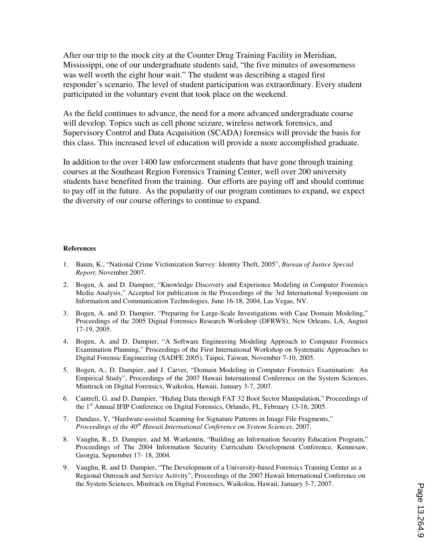After our trip to the mock city at the Counter Drug Training Facility in Meridian, Mississippi, one of our undergraduate students said, "the five minutes of awesomeness was well worth the eight hour wait." The student was describing a staged first responder's scenario. The level of student participation was extraordinary. Every student participated in the voluntary event that took place on the weekend.

As the field continues to advance, the need for a more advanced undergraduate course will develop. Topics such as cell phone seizure, wireless network forensics, and Supervisory Control and Data Acquisition (SCADA) forensics will provide the basis for this class. This increased level of education will provide a more accomplished graduate.

In addition to the over 1400 law enforcement students that have gone through training courses at the Southeast Region Forensics Training Center, well over 200 university students have benefited from the training. Our efforts are paying off and should continue to pay off in the future. As the popularity of our program continues to expand, we expect the diversity of our course offerings to continue to expand.

#### **References**

- 1. Baum, K., "National Crime Victimization Survey: Identity Theft, 2005", *Bureau of Justice Special Report*, November 2007.
- 2. Bogen, A. and D. Dampier, "Knowledge Discovery and Experience Modeling in Computer Forensics Media Analysis," Accepted for publication in the Proceedings of the 3rd International Symposium on Information and Communication Technologies, June 16-18, 2004, Las Vegas, NV.
- 3. Bogen, A. and D. Dampier, "Preparing for Large-Scale Investigations with Case Domain Modeling," Proceedings of the 2005 Digital Forensics Research Workshop (DFRWS), New Orleans, LA, August 17-19, 2005.
- 4. Bogen, A. and D. Dampier, "A Software Engineering Modeling Approach to Computer Forensics Examination Planning," Proceedings of the First International Workshop on Systematic Approaches to Digital Forensic Engineering (SADFE 2005), Taipei, Taiwan, November 7-10, 2005.
- 5. Bogen, A., D. Dampier, and J. Carver, "Domain Modeling in Computer Forensics Examination: An Empirical Study", Proceedings of the 2007 Hawaii International Conference on the System Sciences, Minitrack on Digital Forensics, Waikoloa, Hawaii, January 3-7, 2007.
- 6. Cantrell, G. and D. Dampier, "Hiding Data through FAT 32 Boot Sector Manipulation," Proceedings of the 1<sup>st</sup> Annual IFIP Conference on Digital Forensics, Orlando, FL, February 13-16, 2005.
- 7. Dandass, Y, "Hardware-assisted Scanning for Signature Patterns in Image File Fragments," *Proceedings of the 40th Hawaii International Conference on System Sciences*, 2007.
- 8. Vaughn, R., D. Dampier, and M. Warkentin, "Building an Information Security Education Program," Proceedings of The 2004 Information Security Curriculum Development Conference, Kennesaw, Georgia, September 17- 18, 2004.
- 9. Vaughn, R. and D. Dampier, "The Development of a University-based Forensics Training Center as a Regional Outreach and Service Activity", Proceedings of the 2007 Hawaii International Conference on the System Sciences, Minitrack on Digital Forensics, Waikoloa, Hawaii, January 3-7, 2007.